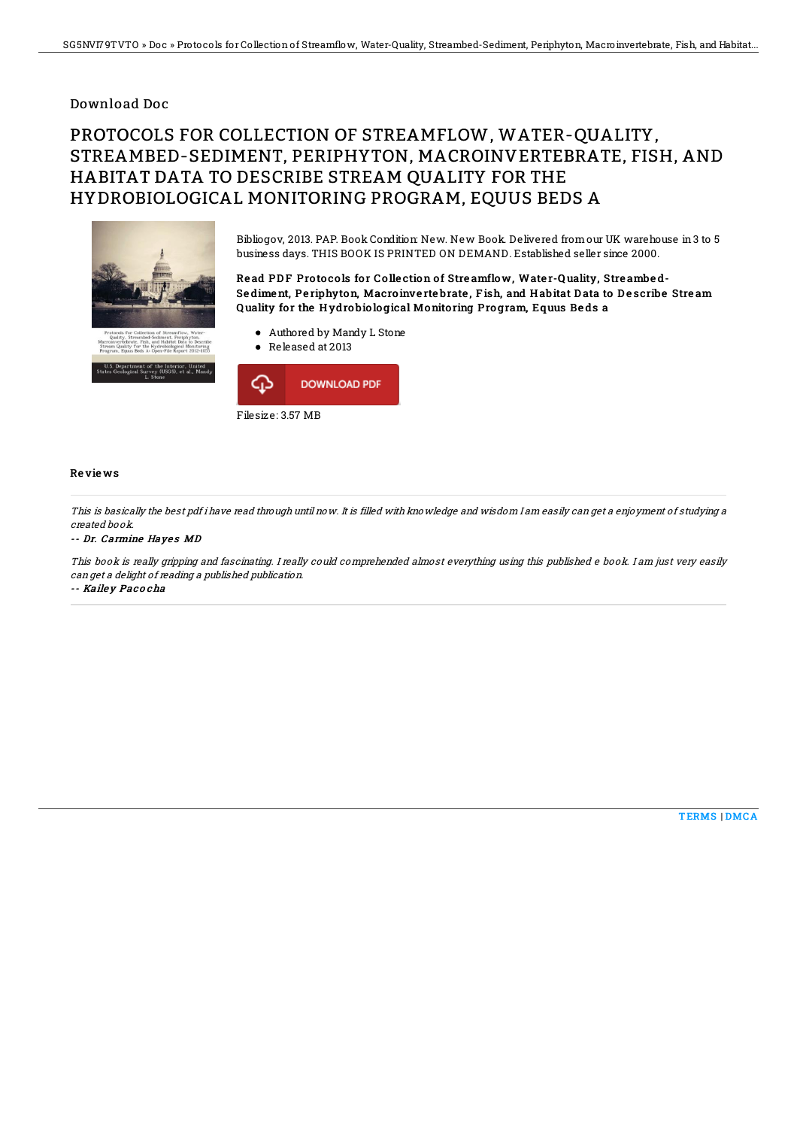### Download Doc

# PROTOCOLS FOR COLLECTION OF STREAMFLOW, WATER-QUALITY, STREAMBED-SEDIMENT, PERIPHYTON, MACROINVERTEBRATE, FISH, AND HABITAT DATA TO DESCRIBE STREAM QUALITY FOR THE HYDROBIOLOGICAL MONITORING PROGRAM, EQUUS BEDS A



Bibliogov, 2013. PAP. Book Condition: New. New Book. Delivered from our UK warehouse in 3 to 5 business days. THIS BOOK IS PRINTED ON DEMAND. Established seller since 2000.

Read PDF Protocols for Collection of Streamflow, Water-Quality, Streambed-Sediment, Periphyton, Macroinvertebrate, Fish, and Habitat Data to Describe Stream Quality for the Hydrobiological Monitoring Program, Equus Beds a

Authored by Mandy L Stone ● Released at 2013



#### Re vie ws

This is basically the best pdf i have read through until now. It is filled with knowledge and wisdom I am easily can get <sup>a</sup> enjoyment of studying <sup>a</sup> created book.

#### -- Dr. Carmine Hayes MD

This book is really gripping and fascinating. I really could comprehended almost everything using this published <sup>e</sup> book. I am just very easily can get <sup>a</sup> delight of reading <sup>a</sup> published publication.

-- Kaile y Pac <sup>o</sup> cha